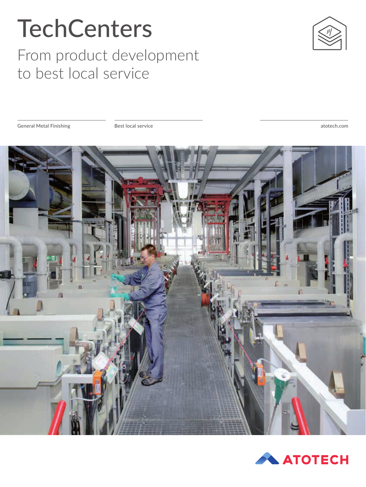# **TechCenters**

#### From product development to best local service



General Metal Finishing Best local service

atotech.com



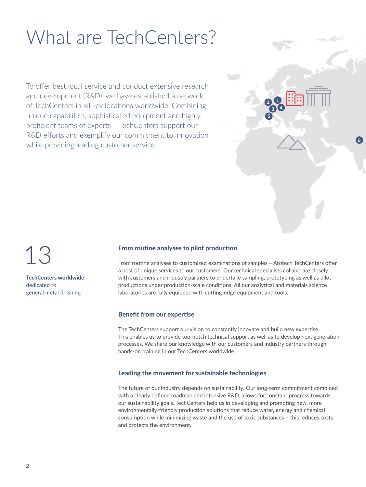### What are TechCenters?

To offer best local service and conduct extensive research and development (R&D), we have established a network of TechCenters in all key locations worldwide. Combining unique capabilities, sophisticated equipment and highly proficient teams of experts – TechCenters support our R&D efforts and exemplify our commitment to innovation while providing leading customer service.



TechCenters worldwide dedicated to general metal finishing

#### From routine analyses to pilot production

From routine analyses to customized examinations of samples – Atotech TechCenters offer a host of unique services to our customers. Our technical specialists collaborate closely with customers and industry partners to undertake sampling, prototyping as well as pilot productions under production-scale conditions. All our analytical and materials science laboratories are fully equipped with cutting-edge equipment and tools.

 $2<sup>1</sup>$  $3$   $\sqrt{4}$ 

5

 $\sqrt{6}$ 

#### Benefit from our expertise

The TechCenters support our vision to constantly innovate and build new expertise. This enables us to provide top-notch technical support as well as to develop next generation processes. We share our knowledge with our customers and industry partners through hands-on training in our TechCenters worldwide.

#### Leading the movement for sustainable technologies

The future of our industry depends on sustainability. Our long-term commitment combined with a clearly defined roadmap and intensive R&D, allows for constant progress towards our sustainability goals. TechCenters help us in developing and promoting new, more environmentally-friendly production solutions that reduce water, energy and chemical consumption while minimizing waste and the use of toxic substances – this reduces costs and protects the environment.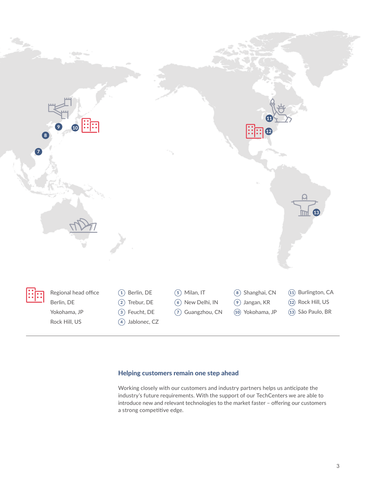

#### Helping customers remain one step ahead

Working closely with our customers and industry partners helps us anticipate the industry's future requirements. With the support of our TechCenters we are able to introduce new and relevant technologies to the market faster – offering our customers a strong competitive edge.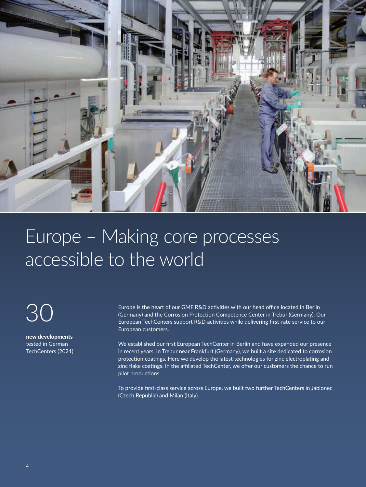

### Europe – Making core processes accessible to the world

30

new developments tested in German TechCenters (2021) Europe is the heart of our GMF R&D activities with our head office located in Berlin (Germany) and the Corrosion Protection Competence Center in Trebur (Germany). Our European TechCenters support R&D activities while delivering first-rate service to our European customers.

We established our first European TechCenter in Berlin and have expanded our presence in recent years. In Trebur near Frankfurt (Germany), we built a site dedicated to corrosion protection coatings. Here we develop the latest technologies for zinc electroplating and zinc flake coatings. In the affiliated TechCenter, we offer our customers the chance to run pilot productions.

To provide first-class service across Europe, we built two further TechCenters in Jablonec (Czech Republic) and Milan (Italy).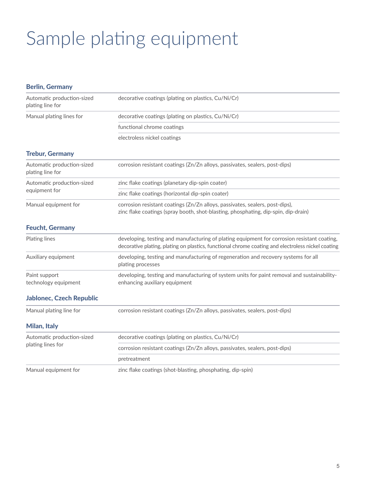# Sample plating equipment

| <b>Berlin, Germany</b>                          |                                                                                                                                                                                                  |
|-------------------------------------------------|--------------------------------------------------------------------------------------------------------------------------------------------------------------------------------------------------|
| Automatic production-sized<br>plating line for  | decorative coatings (plating on plastics, Cu/Ni/Cr)                                                                                                                                              |
| Manual plating lines for                        | decorative coatings (plating on plastics, Cu/Ni/Cr)                                                                                                                                              |
|                                                 | functional chrome coatings                                                                                                                                                                       |
|                                                 | electroless nickel coatings                                                                                                                                                                      |
| <b>Trebur, Germany</b>                          |                                                                                                                                                                                                  |
| Automatic production-sized<br>plating line for  | corrosion resistant coatings (Zn/Zn alloys, passivates, sealers, post-dips)                                                                                                                      |
| Automatic production-sized<br>equipment for     | zinc flake coatings (planetary dip-spin coater)                                                                                                                                                  |
|                                                 | zinc flake coatings (horizontal dip-spin coater)                                                                                                                                                 |
| Manual equipment for                            | corrosion resistant coatings (Zn/Zn alloys, passivates, sealers, post-dips),<br>zinc flake coatings (spray booth, shot-blasting, phosphating, dip-spin, dip-drain)                               |
| <b>Feucht, Germany</b>                          |                                                                                                                                                                                                  |
| Plating lines                                   | developing, testing and manufacturing of plating equipment for corrosion resistant coating,<br>decorative plating, plating on plastics, functional chrome coating and electroless nickel coating |
| Auxiliary equipment                             | developing, testing and manufacturing of regeneration and recovery systems for all<br>plating processes                                                                                          |
| Paint support<br>technology equipment           | developing, testing and manufacturing of system units for paint removal and sustainability-<br>enhancing auxiliary equipment                                                                     |
| <b>Jablonec, Czech Republic</b>                 |                                                                                                                                                                                                  |
| Manual plating line for                         | corrosion resistant coatings (Zn/Zn alloys, passivates, sealers, post-dips)                                                                                                                      |
| Milan, Italy                                    |                                                                                                                                                                                                  |
| Automatic production-sized<br>plating lines for | decorative coatings (plating on plastics, Cu/Ni/Cr)                                                                                                                                              |
|                                                 | corrosion resistant coatings (Zn/Zn alloys, passivates, sealers, post-dips)                                                                                                                      |
|                                                 | pretreatment                                                                                                                                                                                     |
| Manual equipment for                            | zinc flake coatings (shot-blasting, phosphating, dip-spin)                                                                                                                                       |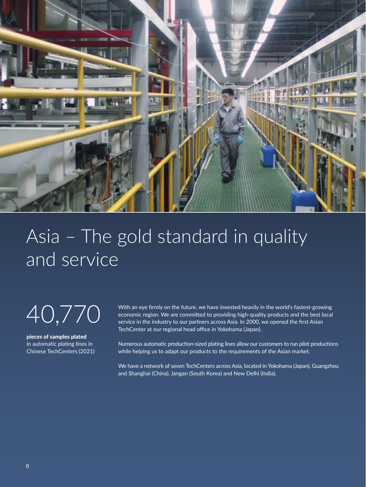

### Asia – The gold standard in quality and service

40,770

pieces of samples plated in automatic plating lines in Chinese TechCenters (2021) With an eye firmly on the future, we have invested heavily in the world's fastest-growing economic region. We are committed to providing high-quality products and the best local service in the industry to our partners across Asia. In 2000, we opened the first Asian TechCenter at our regional head office in Yokohama (Japan).

Numerous automatic production-sized plating lines allow our customers to run pilot productions while helping us to adapt our products to the requirements of the Asian market.

We have a network of seven TechCenters across Asia, located in Yokohama (Japan), Guangzhou and Shanghai (China), Jangan (South Korea) and New Delhi (India).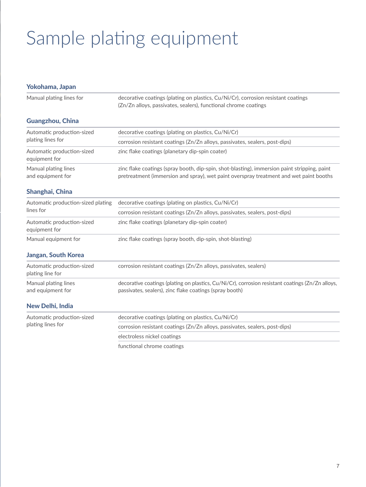# Sample plating equipment

| Yokohama, Japan                                 |                                                                                                                                                                                        |
|-------------------------------------------------|----------------------------------------------------------------------------------------------------------------------------------------------------------------------------------------|
| Manual plating lines for                        | decorative coatings (plating on plastics, Cu/Ni/Cr), corrosion resistant coatings<br>(Zn/Zn alloys, passivates, sealers), functional chrome coatings                                   |
| <b>Guangzhou, China</b>                         |                                                                                                                                                                                        |
| Automatic production-sized<br>plating lines for | decorative coatings (plating on plastics, Cu/Ni/Cr)                                                                                                                                    |
|                                                 | corrosion resistant coatings (Zn/Zn alloys, passivates, sealers, post-dips)                                                                                                            |
| Automatic production-sized<br>equipment for     | zinc flake coatings (planetary dip-spin coater)                                                                                                                                        |
| Manual plating lines<br>and equipment for       | zinc flake coatings (spray booth, dip-spin, shot-blasting), immersion paint stripping, paint<br>pretreatment (immersion and spray), wet paint overspray treatment and wet paint booths |
| Shanghai, China                                 |                                                                                                                                                                                        |
| Automatic production-sized plating              | decorative coatings (plating on plastics, Cu/Ni/Cr)                                                                                                                                    |
| lines for                                       | corrosion resistant coatings (Zn/Zn alloys, passivates, sealers, post-dips)                                                                                                            |
| Automatic production-sized<br>equipment for     | zinc flake coatings (planetary dip-spin coater)                                                                                                                                        |
| Manual equipment for                            | zinc flake coatings (spray booth, dip-spin, shot-blasting)                                                                                                                             |
| <b>Jangan, South Korea</b>                      |                                                                                                                                                                                        |
| Automatic production-sized<br>plating line for  | corrosion resistant coatings (Zn/Zn alloys, passivates, sealers)                                                                                                                       |
| Manual plating lines<br>and equipment for       | decorative coatings (plating on plastics, Cu/Ni/Cr), corrosion resistant coatings (Zn/Zn alloys,<br>passivates, sealers), zinc flake coatings (spray booth)                            |
| New Delhi, India                                |                                                                                                                                                                                        |
| Automatic production-sized<br>plating lines for | decorative coatings (plating on plastics, Cu/Ni/Cr)                                                                                                                                    |
|                                                 | corrosion resistant coatings (Zn/Zn alloys, passivates, sealers, post-dips)                                                                                                            |
|                                                 | electroless nickel coatings                                                                                                                                                            |
|                                                 | functional chrome coatings                                                                                                                                                             |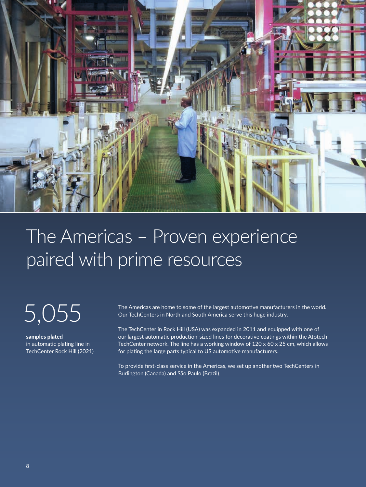

### The Americas – Proven experience paired with prime resources

5,055

samples plated in automatic plating line in TechCenter Rock Hill (2021) The Americas are home to some of the largest automotive manufacturers in the world. Our TechCenters in North and South America serve this huge industry.

The TechCenter in Rock Hill (USA) was expanded in 2011 and equipped with one of our largest automatic production-sized lines for decorative coatings within the Atotech TechCenter network. The line has a working window of  $120 \times 60 \times 25$  cm, which allows for plating the large parts typical to US automotive manufacturers.

To provide first-class service in the Americas, we set up another two TechCenters in Burlington (Canada) and São Paulo (Brazil).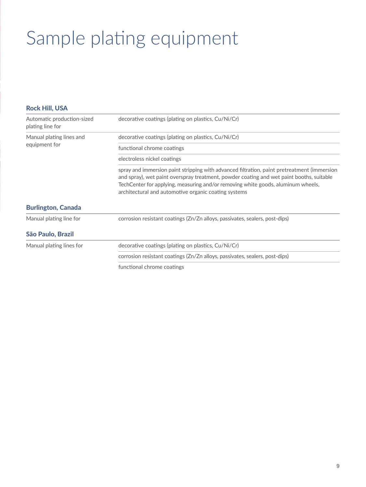# Sample plating equipment

| <b>Rock Hill, USA</b>                          |                                                                                                                                                                                                                                                                                                                                     |
|------------------------------------------------|-------------------------------------------------------------------------------------------------------------------------------------------------------------------------------------------------------------------------------------------------------------------------------------------------------------------------------------|
| Automatic production-sized<br>plating line for | decorative coatings (plating on plastics, Cu/Ni/Cr)                                                                                                                                                                                                                                                                                 |
| Manual plating lines and<br>equipment for      | decorative coatings (plating on plastics, Cu/Ni/Cr)                                                                                                                                                                                                                                                                                 |
|                                                | functional chrome coatings                                                                                                                                                                                                                                                                                                          |
|                                                | electroless nickel coatings                                                                                                                                                                                                                                                                                                         |
|                                                | spray and immersion paint stripping with advanced filtration, paint pretreatment (immersion<br>and spray), wet paint overspray treatment, powder coating and wet paint booths, suitable<br>TechCenter for applying, measuring and/or removing white goods, aluminum wheels,<br>architectural and automotive organic coating systems |
| <b>Burlington, Canada</b>                      |                                                                                                                                                                                                                                                                                                                                     |
| Manual plating line for                        | corrosion resistant coatings (Zn/Zn alloys, passivates, sealers, post-dips)                                                                                                                                                                                                                                                         |
| São Paulo, Brazil                              |                                                                                                                                                                                                                                                                                                                                     |
| Manual plating lines for                       | decorative coatings (plating on plastics, Cu/Ni/Cr)                                                                                                                                                                                                                                                                                 |
|                                                | corrosion resistant coatings (Zn/Zn alloys, passivates, sealers, post-dips)                                                                                                                                                                                                                                                         |
|                                                | functional chrome coatings                                                                                                                                                                                                                                                                                                          |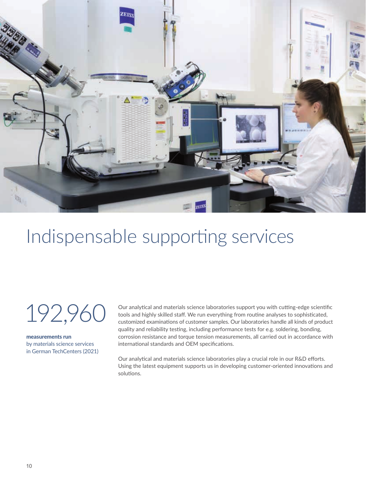

#### Indispensable supporting services

192,960

measurements run

by materials science services in German TechCenters (2021) Our analytical and materials science laboratories support you with cutting-edge scientific tools and highly skilled staff. We run everything from routine analyses to sophisticated, customized examinations of customer samples. Our laboratories handle all kinds of product quality and reliability testing, including performance tests for e.g. soldering, bonding, corrosion resistance and torque tension measurements, all carried out in accordance with international standards and OEM specifications.

Our analytical and materials science laboratories play a crucial role in our R&D efforts. Using the latest equipment supports us in developing customer-oriented innovations and solutions.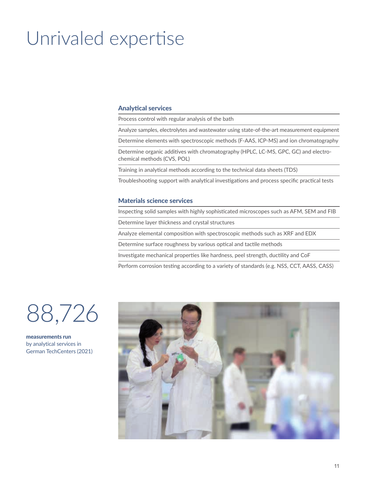### Unrivaled expertise

#### Analytical services

Process control with regular analysis of the bath

Analyze samples, electrolytes and wastewater using state-of-the-art measurement equipment

Determine elements with spectroscopic methods (F-AAS, ICP-MS) and ion chromatography

Determine organic additives with chromatography (HPLC, LC-MS, GPC, GC) and electrochemical methods (CVS, POL)

Training in analytical methods according to the technical data sheets (TDS)

Troubleshooting support with analytical investigations and process specific practical tests

#### Materials science services

Inspecting solid samples with highly sophisticated microscopes such as AFM, SEM and FIB

Determine layer thickness and crystal structures

Analyze elemental composition with spectroscopic methods such as XRF and EDX

Determine surface roughness by various optical and tactile methods

Investigate mechanical properties like hardness, peel strength, ductility and CoF

Perform corrosion testing according to a variety of standards (e.g. NSS, CCT, AASS, CASS)



measurements run by analytical services in German TechCenters (2021)